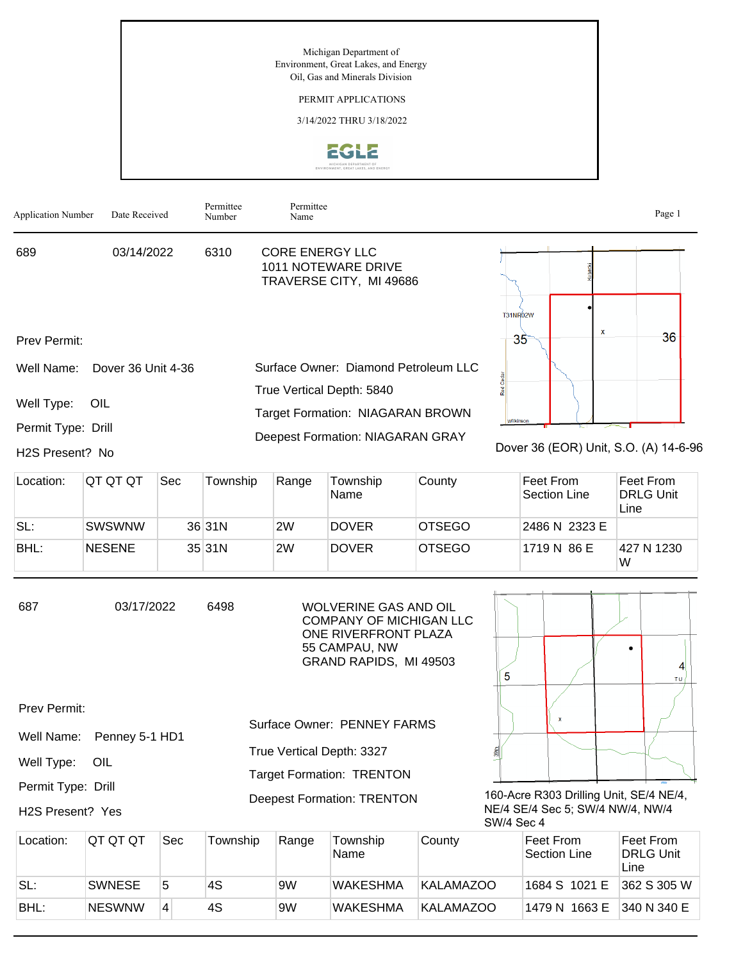Michigan Department of Environment, Great Lakes, and Energy Oil, Gas and Minerals Division

## PERMIT APPLICATIONS

3/14/2022 THRU 3/18/2022





| Location: | IQT QT QT     | Sec | Township | Range | Township<br>Name | County        | Feet From<br>Section Line | Feet From<br><b>DRLG Unit</b><br>Line |
|-----------|---------------|-----|----------|-------|------------------|---------------|---------------------------|---------------------------------------|
| SL:       | SWSWNW        |     | 36 31N   | 2W    | <b>DOVER</b>     | <b>OTSEGO</b> | 2486 N 2323 E             |                                       |
| BHL:      | <b>NESENE</b> |     | 35 31N   | 2W    | <b>DOVER</b>     | <b>OTSEGO</b> | 1719 N 86 E               | 427 N 1230<br>W                       |

| 687<br>03/17/2022<br>6498 | WOLVERINE GAS AND OIL<br>COMPANY OF MICHIGAN LLC<br>ONE RIVERFRONT PLAZA<br>55 CAMPAU, NW<br>GRAND RAPIDS, MI 49503 |
|---------------------------|---------------------------------------------------------------------------------------------------------------------|
|---------------------------|---------------------------------------------------------------------------------------------------------------------|

Prev Permit:

|                               |                           | <b>Surface Owner: PENNEY FARMS</b> |
|-------------------------------|---------------------------|------------------------------------|
|                               | Well Name: Penney 5-1 HD1 |                                    |
| Well Type: OIL                |                           | True Vertical Depth: 3327          |
|                               |                           | <b>Target Formation: TRENTON</b>   |
| Permit Type: Drill            |                           |                                    |
| H <sub>2</sub> S Present? Yes |                           | <b>Deepest Formation: TRENTON</b>  |



160-Acre R303 Drilling Unit, SE/4 NE/4, NE/4 SE/4 Sec 5; SW/4 NW/4, NW/4 SW/4 Sec 4

| Location: | IQT QT QT     | Sec            | Township | Range | Township<br><b>Name</b> | County    | ∣Feet From<br>Section Line | Feet From<br><b>DRLG Unit</b><br>Line |
|-----------|---------------|----------------|----------|-------|-------------------------|-----------|----------------------------|---------------------------------------|
| SL:       | <b>SWNESE</b> | 5              | 4S       | 9W    | <b>WAKESHMA</b>         | KALAMAZOO | 1684 S 1021 E              | 362 S 305 W                           |
| BHL:      | <b>NESWNW</b> | $\overline{4}$ | 4S       | 9W    | <b>WAKESHMA</b>         | KALAMAZOO | 1479 N 1663 E              | 340 N 340 E                           |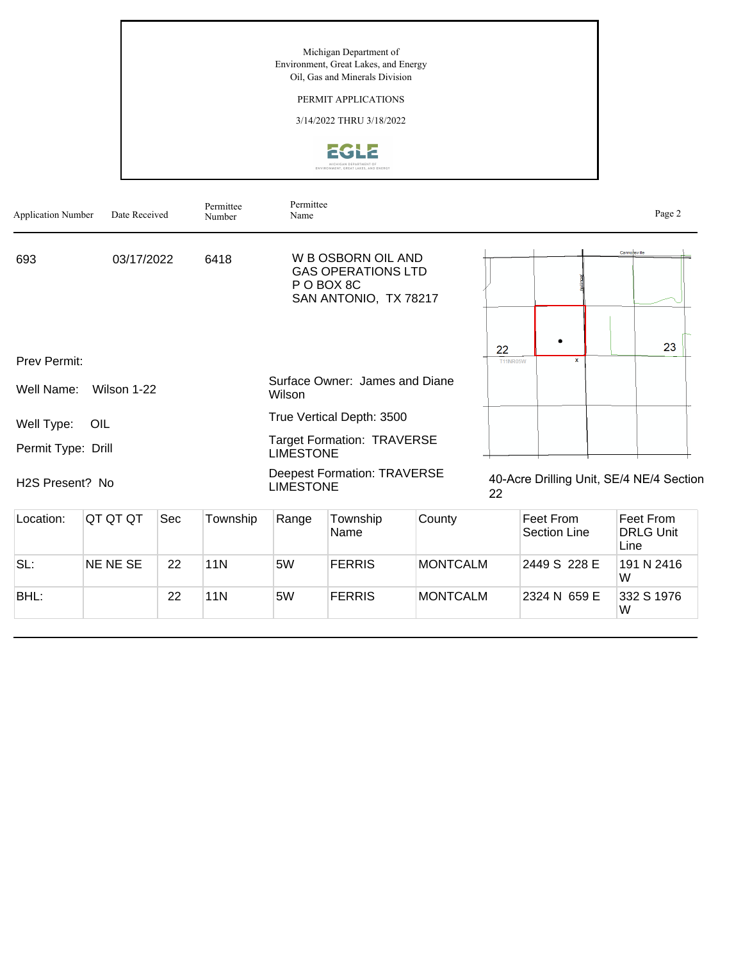Michigan Department of Environment, Great Lakes, and Energy Oil, Gas and Minerals Division

## PERMIT APPLICATIONS

3/14/2022 THRU 3/18/2022



| <b>Application Number</b> | Date Received   |     | Permittee<br>Number | Permittee<br>Name                                     |                                                                                        |                 |                       |                                          |              | Page 2                        |
|---------------------------|-----------------|-----|---------------------|-------------------------------------------------------|----------------------------------------------------------------------------------------|-----------------|-----------------------|------------------------------------------|--------------|-------------------------------|
| 693                       | 03/17/2022      |     | 6418                |                                                       | W B OSBORN OIL AND<br><b>GAS OPERATIONS LTD</b><br>P O BOX 8C<br>SAN ANTONIO, TX 78217 |                 |                       |                                          | Cannonsville |                               |
| Prev Permit:              |                 |     |                     |                                                       |                                                                                        |                 | 22<br><b>T11NR05W</b> | $\mathbf{x}$                             |              | 23                            |
| Well Name:                | Wilson 1-22     |     |                     | Wilson                                                | Surface Owner: James and Diane                                                         |                 |                       |                                          |              |                               |
| Well Type:                | OIL             |     |                     |                                                       | True Vertical Depth: 3500                                                              |                 |                       |                                          |              |                               |
| Permit Type: Drill        |                 |     |                     | <b>Target Formation: TRAVERSE</b><br><b>LIMESTONE</b> |                                                                                        |                 |                       |                                          |              |                               |
| H2S Present? No           |                 |     |                     | <b>LIMESTONE</b>                                      | <b>Deepest Formation: TRAVERSE</b>                                                     |                 | 22                    | 40-Acre Drilling Unit, SE/4 NE/4 Section |              |                               |
| Location:                 | QT QT QT        | Sec | Township            | Range                                                 | Township<br>Name                                                                       | County          |                       | <b>Feet From</b><br><b>Section Line</b>  | Line         | Feet From<br><b>DRLG Unit</b> |
| SL:                       | <b>NE NE SE</b> | 22  | <b>11N</b>          | 5W                                                    | <b>FERRIS</b>                                                                          | <b>MONTCALM</b> |                       | 2449 S 228 E                             | W            | 191 N 2416                    |
| BHL:                      |                 | 22  | <b>11N</b>          | 5W                                                    | <b>FERRIS</b>                                                                          | <b>MONTCALM</b> |                       | 2324 N 659 E                             | W            | 332 S 1976                    |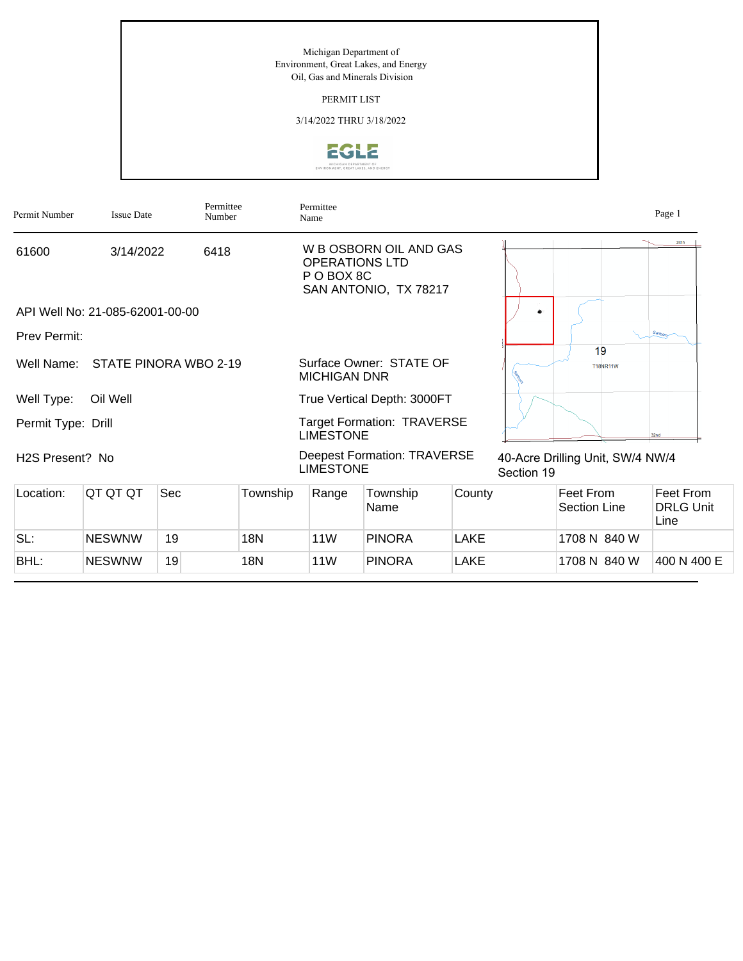Michigan Department of Environment, Great Lakes, and Energy Oil, Gas and Minerals Division

PERMIT LIST

3/14/2022 THRU 3/18/2022



| Permit Number                | <b>Issue Date</b>               | Permittee<br>Number              |          | Permittee<br>Name                   |                                                 |             |            |                                  | Page 1                                |
|------------------------------|---------------------------------|----------------------------------|----------|-------------------------------------|-------------------------------------------------|-------------|------------|----------------------------------|---------------------------------------|
| 61600                        | 3/14/2022                       | 6418                             |          | <b>OPERATIONS LTD</b><br>P O BOX 8C | W B OSBORN OIL AND GAS<br>SAN ANTONIO, TX 78217 |             |            |                                  | 24th                                  |
|                              | API Well No: 21-085-62001-00-00 |                                  |          |                                     |                                                 |             |            |                                  |                                       |
| <b>Prev Permit:</b>          |                                 |                                  |          |                                     |                                                 |             |            |                                  | $s_{\text{im}b\alpha\eta}$            |
|                              |                                 | Well Name: STATE PINORA WBO 2-19 |          | <b>MICHIGAN DNR</b>                 | Surface Owner: STATE OF                         |             |            | 19<br><b>T18NR11W</b>            |                                       |
| Well Type:                   | Oil Well                        |                                  |          |                                     | True Vertical Depth: 3000FT                     |             |            |                                  |                                       |
| Permit Type: Drill           |                                 |                                  |          | <b>LIMESTONE</b>                    | <b>Target Formation: TRAVERSE</b>               |             |            |                                  | 32nd                                  |
| H <sub>2</sub> S Present? No |                                 |                                  |          | <b>LIMESTONE</b>                    | <b>Deepest Formation: TRAVERSE</b>              |             | Section 19 | 40-Acre Drilling Unit, SW/4 NW/4 |                                       |
| Location:                    | QT QT QT                        | Sec                              | Township | Range                               | Township<br>Name                                | County      |            | Feet From<br><b>Section Line</b> | Feet From<br><b>DRLG Unit</b><br>Line |
| SL:                          | <b>NESWNW</b>                   | 19                               | 18N      | 11W                                 | <b>PINORA</b>                                   | LAKE        |            | 1708 N 840 W                     |                                       |
| BHL:                         | <b>NESWNW</b>                   | 19                               | 18N      | 11W                                 | <b>PINORA</b>                                   | <b>LAKE</b> |            | 1708 N 840 W                     | 400 N 400 E                           |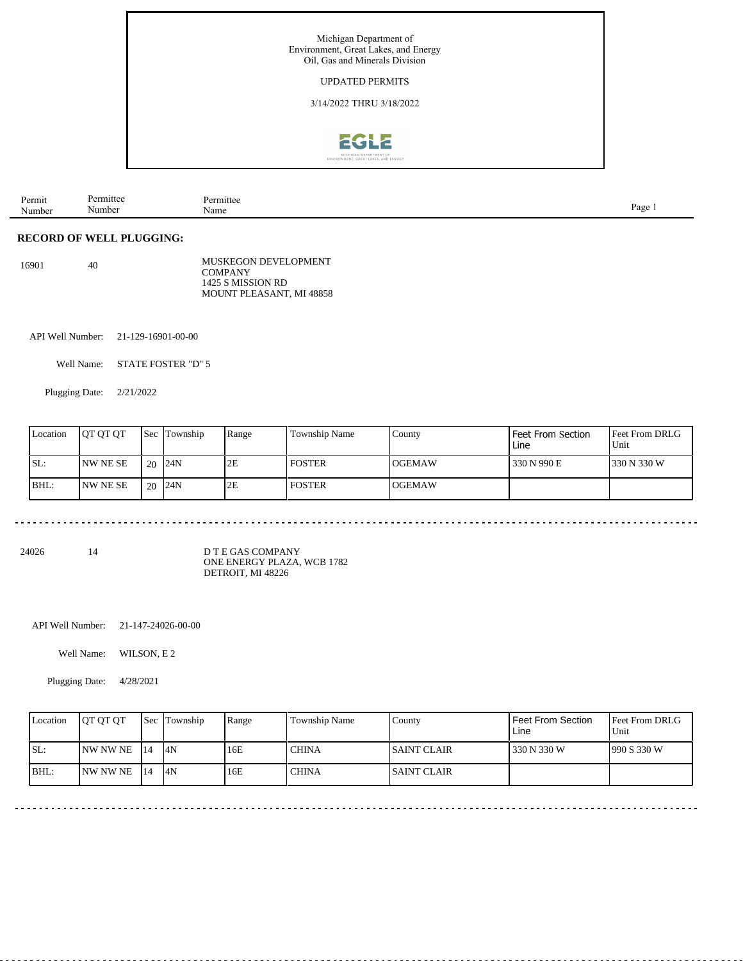

| age<br>Number<br>Name<br>Number |
|---------------------------------|
|---------------------------------|

## **RECORD OF WELL PLUGGING:**

 $40\,$ MUSKEGON DEVELOPMENT **COMPANY** 1425 S MISSION RD MOUNT PLEASANT, MI 48858

API Well Number: 21-129-16901-00-00

Well Name: STATE FOSTER "D" 5

Plugging Date: 2/21/2022

| Location | <b>OT OT OT</b> | Sec | <b>Township</b> | Range | Township Name | County         | Feet From Section<br>Line | <b>Feet From DRLG</b><br>Unit |
|----------|-----------------|-----|-----------------|-------|---------------|----------------|---------------------------|-------------------------------|
| SL:      | INW NE SE       | 20  | 124N            | 2E    | l foster      | <b>IOGEMAW</b> | 330 N 990 E               | 1330 N 330 W                  |
| BHL:     | INW NE SE       | 20  | 124N            | 2E    | l foster      | <b>IOGEMAW</b> |                           |                               |

24026 14

D T E GAS COMPANY ONE ENERGY PLAZA, WCB 1782 DETROIT, MI 48226

API Well Number: 21-147-24026-00-00

Well Name: WILSON, E 2

Plugging Date: 4/28/2021

|      | Location | <b>IOT OT OT</b> |      | <b>Sec</b> Township | Range | Township Name | Countv       | Feet From Section<br>Line | <b>Feet From DRLG</b><br>Unit |
|------|----------|------------------|------|---------------------|-------|---------------|--------------|---------------------------|-------------------------------|
| ISL: |          | INW NW NE        | -114 | 14N                 | 16E   | <b>CHINA</b>  | ISAINT CLAIR | 330 N 330 W               | 1990 S 330 W                  |
|      | BHL:     | INW NW NE        | 114  | 4N                  | 16E   | <b>CHINA</b>  | ISAINT CLAIR |                           |                               |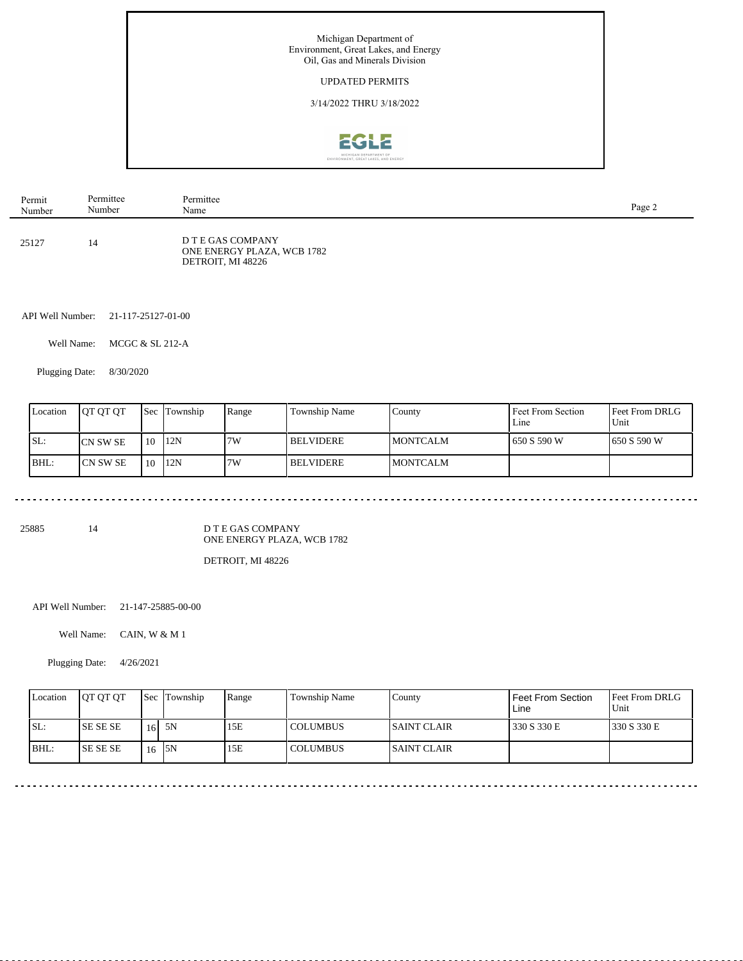

| Permit | Permittee | Permittee                                                            | Page 2 |
|--------|-----------|----------------------------------------------------------------------|--------|
| Number | Number    | Name                                                                 |        |
| 25127  | 14        | D T E GAS COMPANY<br>ONE ENERGY PLAZA, WCB 1782<br>DETROIT, MI 48226 |        |

API Well Number: 21-117-25127-01-00

Well Name: MCGC & SL 212-A

Plugging Date: 8/30/2020

| Location | <b>IOT OT OT</b> |    | <b>Sec Township</b> | Range | Township Name    | County          | Feet From Section<br>Line | <b>Feet From DRLG</b><br>Unit |
|----------|------------------|----|---------------------|-------|------------------|-----------------|---------------------------|-------------------------------|
| ISL:     | <b>ICN SW SE</b> | 10 | 12N                 | 7W    | <b>BELVIDERE</b> | IMONTCALM       | 650 S 590 W               | 1650 S 590 W                  |
| BHL:     | ICN SW SE        | 10 | 12N                 | 7W    | <b>BELVIDERE</b> | <b>MONTCALM</b> |                           |                               |

25885 14

D T E GAS COMPANY ONE ENERGY PLAZA, WCB 1782

DETROIT, MI 48226

API Well Number: 21-147-25885-00-00

Well Name: CAIN, W & M 1

Plugging Date: 4/26/2021

| Location | <b>IOT OT OT</b> |                 | <b>Sec</b> Township | Range | Township Name | County              | <b>Feet From Section</b><br>Line | <b>Feet From DRLG</b><br>Unit |
|----------|------------------|-----------------|---------------------|-------|---------------|---------------------|----------------------------------|-------------------------------|
| SL:      | <b>ISE SE SE</b> | 16 <sup>1</sup> | 5N                  | 15E   | COLUMBUS      | <b>ISAINT CLAIR</b> | 330 S 330 E                      | 1330 S 330 E                  |
| BHL:     | <b>ISE SE SE</b> | 16              | 15N                 | 15E   | COLUMBUS      | <b>ISAINT CLAIR</b> |                                  |                               |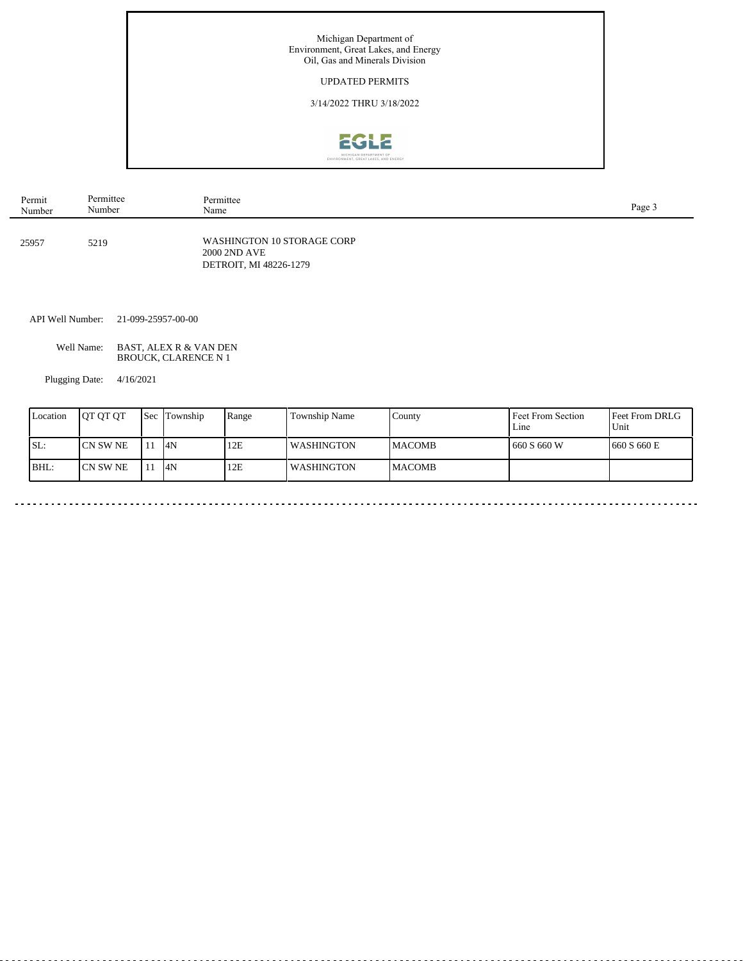

| Permit | Permittee | Permittee                                                            | Page 3 |
|--------|-----------|----------------------------------------------------------------------|--------|
| Number | Number    | Name                                                                 |        |
| 25957  | 5219      | WASHINGTON 10 STORAGE CORP<br>2000 2ND AVE<br>DETROIT, MI 48226-1279 |        |

API Well Number: 21-099-25957-00-00

Well Name: BAST, ALEX R & VAN DEN BROUCK, CLARENCE N 1

Plugging Date: 4/16/2021

| Location | <b>IOT OT OT</b> | Sec | Township | Range | Township Name | County         | Feet From Section<br>Line | Feet From DRLG<br>Unit |
|----------|------------------|-----|----------|-------|---------------|----------------|---------------------------|------------------------|
| SL:      | ICN SW NE        | 11  | 14N      | 12E   | l WASHINGTON  | <b>IMACOMB</b> | 1660 S 660 W              | 1660 S 660 E           |
| BHL:     | ICN SW NE        | 11  | 4N       | 12E   | l WASHINGTON  | <b>IMACOMB</b> |                           |                        |